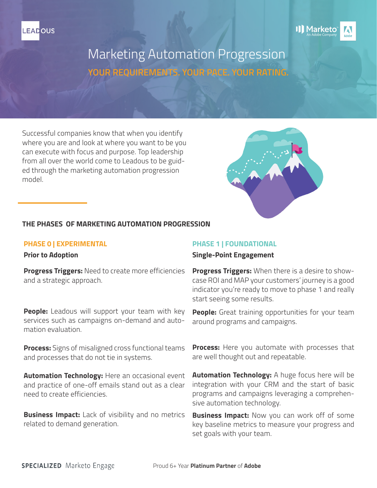



# Marketing Automation Progression **YOUR REQUIREMENTS. YOUR PACE. YOUR RATING.**

Successful companies know that when you identify where you are and look at where you want to be you can execute with focus and purpose. Top leadership from all over the world come to Leadous to be guided through the marketing automation progression model.



# **THE PHASES OF MARKETING AUTOMATION PROGRESSION**

# **PHASE 0 | EXPERIMENTAL**

**Prior to Adoption**

**Progress Triggers:** Need to create more efficiencies and a strategic approach.

**People:** Leadous will support your team with key services such as campaigns on-demand and automation evaluation.

**Process:** Signs of misaligned cross functional teams and processes that do not tie in systems.

**Automation Technology:** Here an occasional event and practice of one-off emails stand out as a clear need to create efficiencies.

**Business Impact:** Lack of visibility and no metrics related to demand generation.

# **PHASE 1 | FOUNDATIONAL**

## **Single-Point Engagement**

**Progress Triggers:** When there is a desire to showcase ROI and MAP your customers' journey is a good indicator you're ready to move to phase 1 and really start seeing some results.

**People:** Great training opportunities for your team around programs and campaigns.

**Process:** Here you automate with processes that are well thought out and repeatable.

**Automation Technology:** A huge focus here will be integration with your CRM and the start of basic programs and campaigns leveraging a comprehensive automation technology.

**Business Impact:** Now you can work off of some key baseline metrics to measure your progress and set goals with your team.